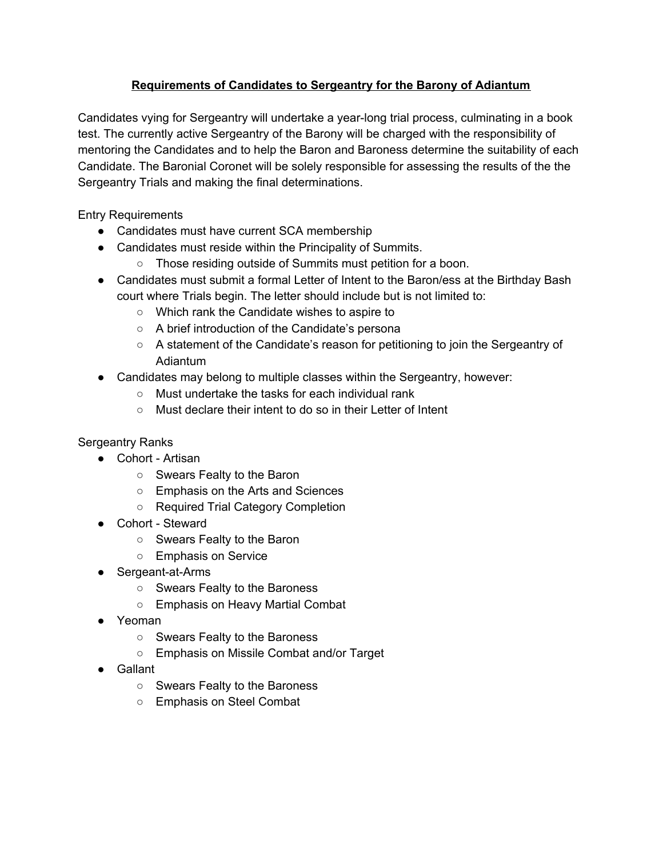## **Requirements of Candidates to Sergeantry for the Barony of Adiantum**

Candidates vying for Sergeantry will undertake a year-long trial process, culminating in a book test. The currently active Sergeantry of the Barony will be charged with the responsibility of mentoring the Candidates and to help the Baron and Baroness determine the suitability of each Candidate. The Baronial Coronet will be solely responsible for assessing the results of the the Sergeantry Trials and making the final determinations.

Entry Requirements

- Candidates must have current SCA membership
- Candidates must reside within the Principality of Summits.
	- Those residing outside of Summits must petition for a boon.
- Candidates must submit a formal Letter of Intent to the Baron/ess at the Birthday Bash court where Trials begin. The letter should include but is not limited to:
	- Which rank the Candidate wishes to aspire to
	- A brief introduction of the Candidate's persona
	- A statement of the Candidate's reason for petitioning to join the Sergeantry of Adiantum
- Candidates may belong to multiple classes within the Sergeantry, however:
	- Must undertake the tasks for each individual rank
	- Must declare their intent to do so in their Letter of Intent

# Sergeantry Ranks

- Cohort Artisan
	- Swears Fealty to the Baron
	- Emphasis on the Arts and Sciences
	- Required Trial Category Completion
- Cohort Steward
	- Swears Fealty to the Baron
	- Emphasis on Service
- Sergeant-at-Arms
	- Swears Fealty to the Baroness
	- Emphasis on Heavy Martial Combat
- Yeoman
	- Swears Fealty to the Baroness
	- Emphasis on Missile Combat and/or Target
- Gallant
	- Swears Fealty to the Baroness
	- Emphasis on Steel Combat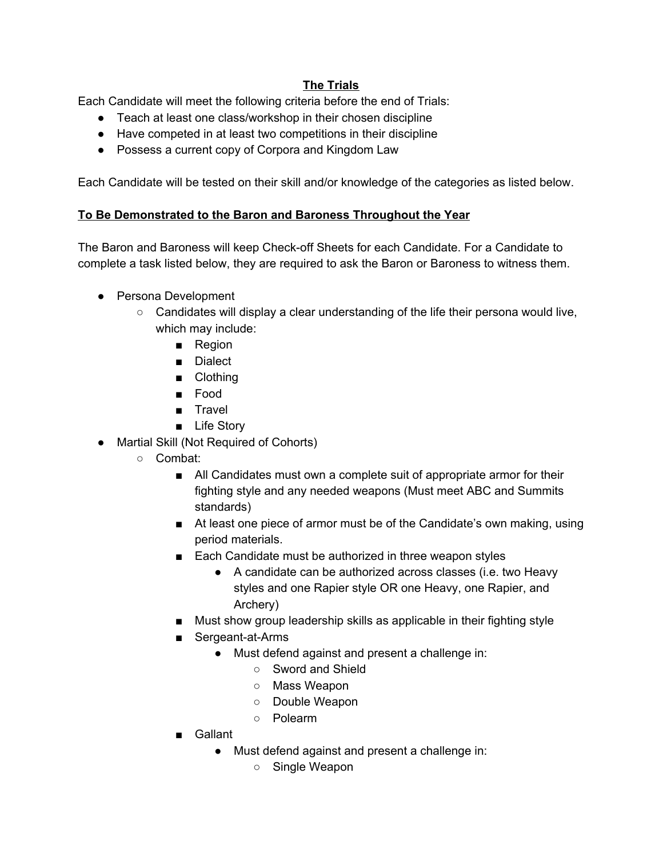## **The Trials**

Each Candidate will meet the following criteria before the end of Trials:

- Teach at least one class/workshop in their chosen discipline
- Have competed in at least two competitions in their discipline
- Possess a current copy of Corpora and Kingdom Law

Each Candidate will be tested on their skill and/or knowledge of the categories as listed below.

#### **To Be Demonstrated to the Baron and Baroness Throughout the Year**

The Baron and Baroness will keep Check-off Sheets for each Candidate. For a Candidate to complete a task listed below, they are required to ask the Baron or Baroness to witness them.

- Persona Development
	- Candidates will display a clear understanding of the life their persona would live, which may include:
		- Region
		- Dialect
		- Clothing
		- Food
		- Travel
		- Life Story
- Martial Skill (Not Required of Cohorts)
	- Combat:
		- All Candidates must own a complete suit of appropriate armor for their fighting style and any needed weapons (Must meet ABC and Summits standards)
		- At least one piece of armor must be of the Candidate's own making, using period materials.
		- Each Candidate must be authorized in three weapon styles
			- A candidate can be authorized across classes (i.e. two Heavy styles and one Rapier style OR one Heavy, one Rapier, and Archery)
		- Must show group leadership skills as applicable in their fighting style
		- Sergeant-at-Arms
			- Must defend against and present a challenge in:
				- Sword and Shield
				- Mass Weapon
				- Double Weapon
				- Polearm
		- Gallant
			- Must defend against and present a challenge in:
				- Single Weapon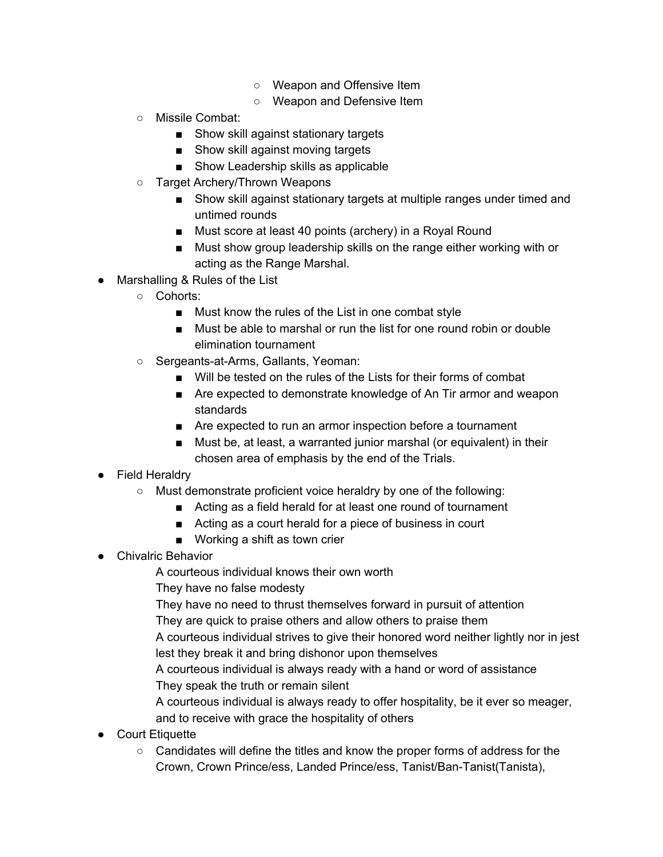- Weapon and Offensive Item
- Weapon and Defensive Item
- Missile Combat:
	- Show skill against stationary targets
	- Show skill against moving targets
	- Show Leadership skills as applicable
- Target Archery/Thrown Weapons
	- Show skill against stationary targets at multiple ranges under timed and untimed rounds
	- Must score at least 40 points (archery) in a Royal Round
	- Must show group leadership skills on the range either working with or acting as the Range Marshal.
- Marshalling & Rules of the List
	- Cohorts:
		- Must know the rules of the List in one combat style
		- Must be able to marshal or run the list for one round robin or double elimination tournament
	- Sergeants-at-Arms, Gallants, Yeoman:
		- Will be tested on the rules of the Lists for their forms of combat
		- Are expected to demonstrate knowledge of An Tir armor and weapon standards
		- Are expected to run an armor inspection before a tournament
		- Must be, at least, a warranted junior marshal (or equivalent) in their chosen area of emphasis by the end of the Trials.
- Field Heraldry
	- Must demonstrate proficient voice heraldry by one of the following:
		- Acting as a field herald for at least one round of tournament
		- Acting as a court herald for a piece of business in court
		- Working a shift as town crier
- Chivalric Behavior
	- A courteous individual knows their own worth
	- They have no false modesty
	- They have no need to thrust themselves forward in pursuit of attention
	- They are quick to praise others and allow others to praise them

A courteous individual strives to give their honored word neither lightly nor in jest lest they break it and bring dishonor upon themselves

A courteous individual is always ready with a hand or word of assistance They speak the truth or remain silent

A courteous individual is always ready to offer hospitality, be it ever so meager, and to receive with grace the hospitality of others

- **Court Etiquette** 
	- Candidates will define the titles and know the proper forms of address for the Crown, Crown Prince/ess, Landed Prince/ess, Tanist/Ban-Tanist(Tanista),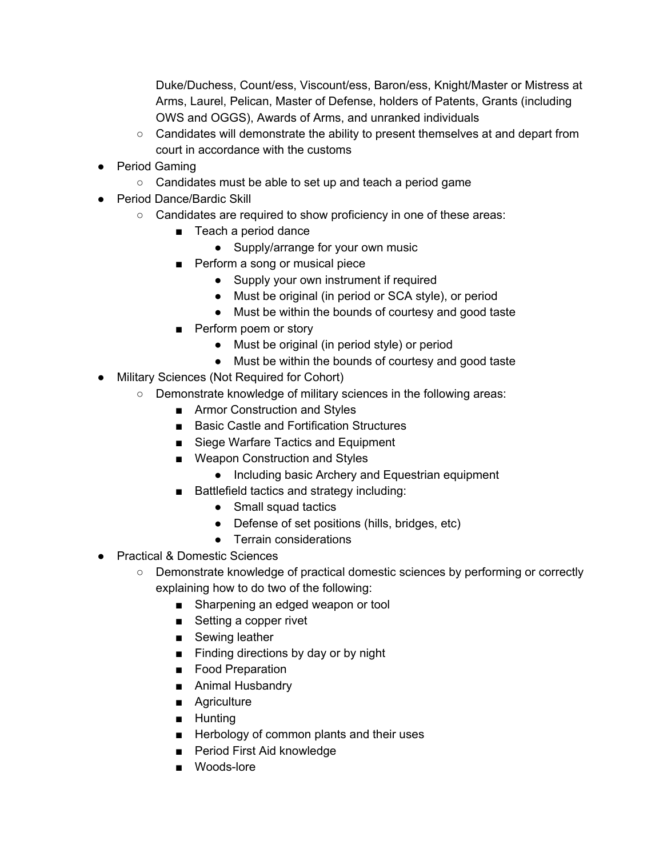Duke/Duchess, Count/ess, Viscount/ess, Baron/ess, Knight/Master or Mistress at Arms, Laurel, Pelican, Master of Defense, holders of Patents, Grants (including OWS and OGGS), Awards of Arms, and unranked individuals

- Candidates will demonstrate the ability to present themselves at and depart from court in accordance with the customs
- Period Gaming
	- Candidates must be able to set up and teach a period game
- Period Dance/Bardic Skill
	- Candidates are required to show proficiency in one of these areas:
		- Teach a period dance
			- Supply/arrange for your own music
		- Perform a song or musical piece
			- Supply your own instrument if required
			- Must be original (in period or SCA style), or period
			- Must be within the bounds of courtesy and good taste
		- Perform poem or story
			- Must be original (in period style) or period
			- Must be within the bounds of courtesy and good taste
- Military Sciences (Not Required for Cohort)
	- Demonstrate knowledge of military sciences in the following areas:
		- Armor Construction and Styles
		- Basic Castle and Fortification Structures
		- Siege Warfare Tactics and Equipment
		- Weapon Construction and Styles
			- Including basic Archery and Equestrian equipment
		- Battlefield tactics and strategy including:
			- Small squad tactics
			- Defense of set positions (hills, bridges, etc)
			- Terrain considerations
- Practical & Domestic Sciences
	- Demonstrate knowledge of practical domestic sciences by performing or correctly explaining how to do two of the following:
		- Sharpening an edged weapon or tool
		- Setting a copper rivet
		- Sewing leather
		- Finding directions by day or by night
		- Food Preparation
		- Animal Husbandry
		- Agriculture
		- Hunting
		- Herbology of common plants and their uses
		- Period First Aid knowledge
		- Woods-lore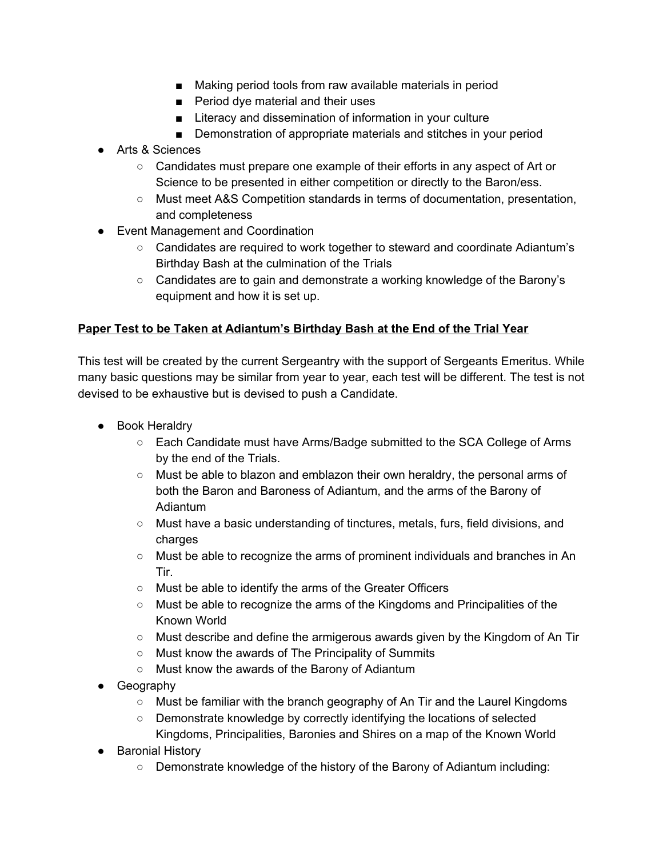- Making period tools from raw available materials in period
- Period dye material and their uses
- Literacy and dissemination of information in your culture
- Demonstration of appropriate materials and stitches in your period
- Arts & Sciences
	- Candidates must prepare one example of their efforts in any aspect of Art or Science to be presented in either competition or directly to the Baron/ess.
	- Must meet A&S Competition standards in terms of documentation, presentation, and completeness
- Event Management and Coordination
	- Candidates are required to work together to steward and coordinate Adiantum's Birthday Bash at the culmination of the Trials
	- Candidates are to gain and demonstrate a working knowledge of the Barony's equipment and how it is set up.

### **Paper Test to be Taken at Adiantum's Birthday Bash at the End of the Trial Year**

This test will be created by the current Sergeantry with the support of Sergeants Emeritus. While many basic questions may be similar from year to year, each test will be different. The test is not devised to be exhaustive but is devised to push a Candidate.

- Book Heraldry
	- Each Candidate must have Arms/Badge submitted to the SCA College of Arms by the end of the Trials.
	- Must be able to blazon and emblazon their own heraldry, the personal arms of both the Baron and Baroness of Adiantum, and the arms of the Barony of Adiantum
	- Must have a basic understanding of tinctures, metals, furs, field divisions, and charges
	- Must be able to recognize the arms of prominent individuals and branches in An Tir.
	- Must be able to identify the arms of the Greater Officers
	- Must be able to recognize the arms of the Kingdoms and Principalities of the Known World
	- Must describe and define the armigerous awards given by the Kingdom of An Tir
	- Must know the awards of The Principality of Summits
	- Must know the awards of the Barony of Adiantum
- **•** Geography
	- Must be familiar with the branch geography of An Tir and the Laurel Kingdoms
	- Demonstrate knowledge by correctly identifying the locations of selected Kingdoms, Principalities, Baronies and Shires on a map of the Known World
- Baronial History
	- Demonstrate knowledge of the history of the Barony of Adiantum including: